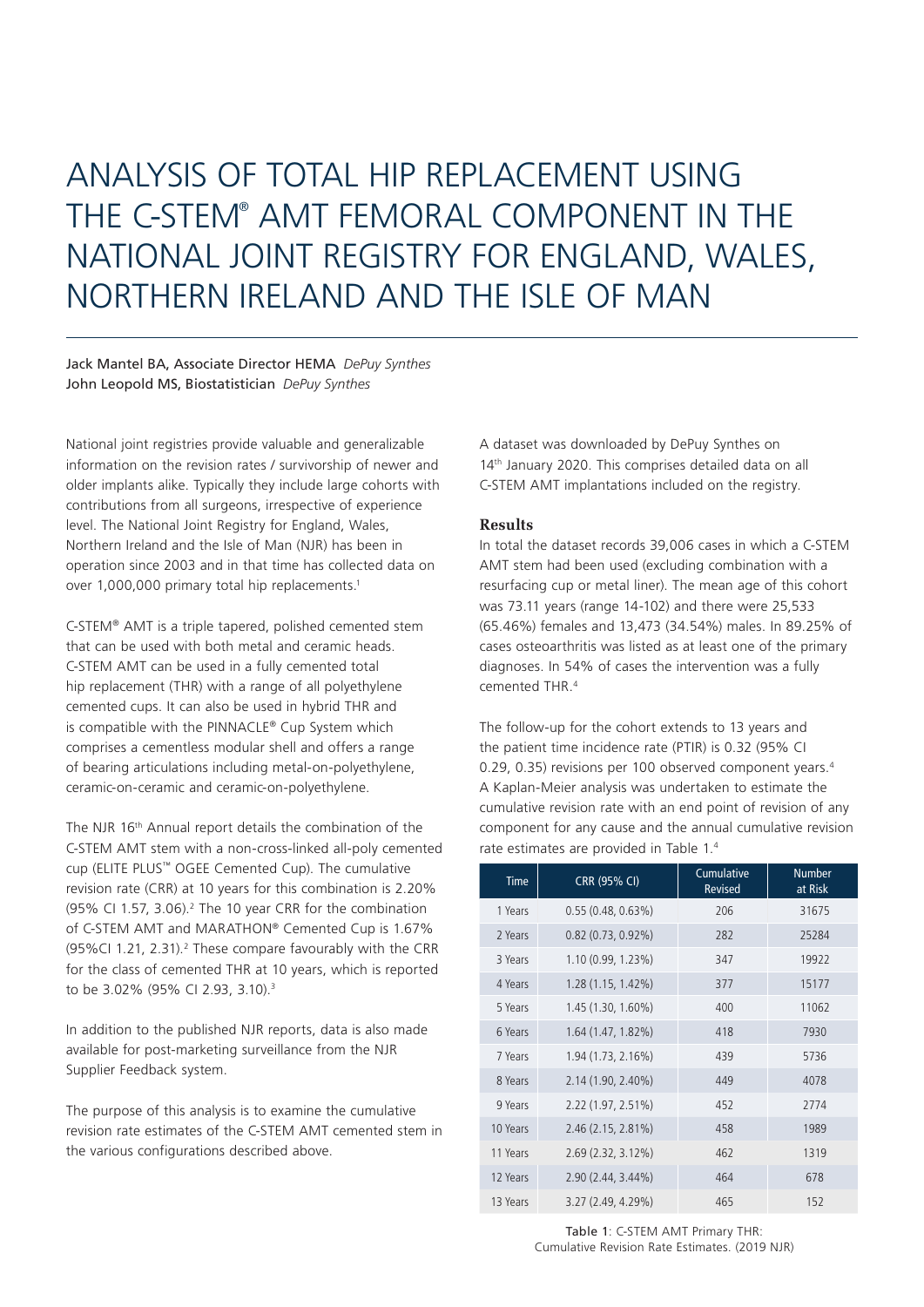# ANALYSIS OF TOTAL HIP REPLACEMENT USING THE C-STEM® AMT FEMORAL COMPONENT IN THE NATIONAL JOINT REGISTRY FOR ENGLAND, WALES, NORTHERN IRELAND AND THE ISLE OF MAN

## Jack Mantel BA, Associate Director HEMA *DePuy Synthes* John Leopold MS, Biostatistician *DePuy Synthes*

National joint registries provide valuable and generalizable information on the revision rates / survivorship of newer and older implants alike. Typically they include large cohorts with contributions from all surgeons, irrespective of experience level. The National Joint Registry for England, Wales, Northern Ireland and the Isle of Man (NJR) has been in operation since 2003 and in that time has collected data on over 1,000,000 primary total hip replacements.1

C-STEM® AMT is a triple tapered, polished cemented stem that can be used with both metal and ceramic heads. C-STEM AMT can be used in a fully cemented total hip replacement (THR) with a range of all polyethylene cemented cups. It can also be used in hybrid THR and is compatible with the PINNACLE® Cup System which comprises a cementless modular shell and offers a range of bearing articulations including metal-on-polyethylene, ceramic-on-ceramic and ceramic-on-polyethylene.

The NJR 16th Annual report details the combination of the C-STEM AMT stem with a non-cross-linked all-poly cemented cup (ELITE PLUS™ OGEE Cemented Cup). The cumulative revision rate (CRR) at 10 years for this combination is 2.20%  $(95\%$  CI 1.57, 3.06).<sup>2</sup> The 10 year CRR for the combination of C-STEM AMT and MARATHON® Cemented Cup is 1.67% (95%CI 1.21, 2.31).<sup>2</sup> These compare favourably with the CRR for the class of cemented THR at 10 years, which is reported to be 3.02% (95% CI 2.93, 3.10).3

In addition to the published NJR reports, data is also made available for post-marketing surveillance from the NJR Supplier Feedback system.

The purpose of this analysis is to examine the cumulative revision rate estimates of the C-STEM AMT cemented stem in the various configurations described above.

A dataset was downloaded by DePuy Synthes on 14<sup>th</sup> January 2020. This comprises detailed data on all C-STEM AMT implantations included on the registry.

## **Results**

In total the dataset records 39,006 cases in which a C-STEM AMT stem had been used (excluding combination with a resurfacing cup or metal liner). The mean age of this cohort was 73.11 years (range 14-102) and there were 25,533 (65.46%) females and 13,473 (34.54%) males. In 89.25% of cases osteoarthritis was listed as at least one of the primary diagnoses. In 54% of cases the intervention was a fully cemented THR.4

The follow-up for the cohort extends to 13 years and the patient time incidence rate (PTIR) is 0.32 (95% CI 0.29, 0.35) revisions per 100 observed component years.4 A Kaplan-Meier analysis was undertaken to estimate the cumulative revision rate with an end point of revision of any component for any cause and the annual cumulative revision rate estimates are provided in Table 1.4

| <b>Time</b> | <b>CRR (95% CI)</b>  | Cumulative<br><b>Revised</b> | <b>Number</b><br>at Risk |
|-------------|----------------------|------------------------------|--------------------------|
| 1 Years     | 0.55(0.48, 0.63%)    | 206                          | 31675                    |
| 2 Years     | $0.82(0.73, 0.92\%)$ | 282                          | 25284                    |
| 3 Years     | 1.10(0.99, 1.23%)    | 347                          | 19922                    |
| 4 Years     | $1.28(1.15, 1.42\%)$ | 377                          | 15177                    |
| 5 Years     | 1.45 (1.30, 1.60%)   | 400                          | 11062                    |
| 6 Years     | 1.64 (1.47, 1.82%)   | 418                          | 7930                     |
| 7 Years     | 1.94 (1.73, 2.16%)   | 439                          | 5736                     |
| 8 Years     | 2.14 (1.90, 2.40%)   | 449                          | 4078                     |
| 9 Years     | 2.22 (1.97, 2.51%)   | 452                          | 2774                     |
| 10 Years    | 2.46 (2.15, 2.81%)   | 458                          | 1989                     |
| 11 Years    | $2.69(2.32, 3.12\%)$ | 462                          | 1319                     |
| 12 Years    | 2.90 (2.44, 3.44%)   | 464                          | 678                      |
| 13 Years    | 3.27 (2.49, 4.29%)   | 465                          | 152                      |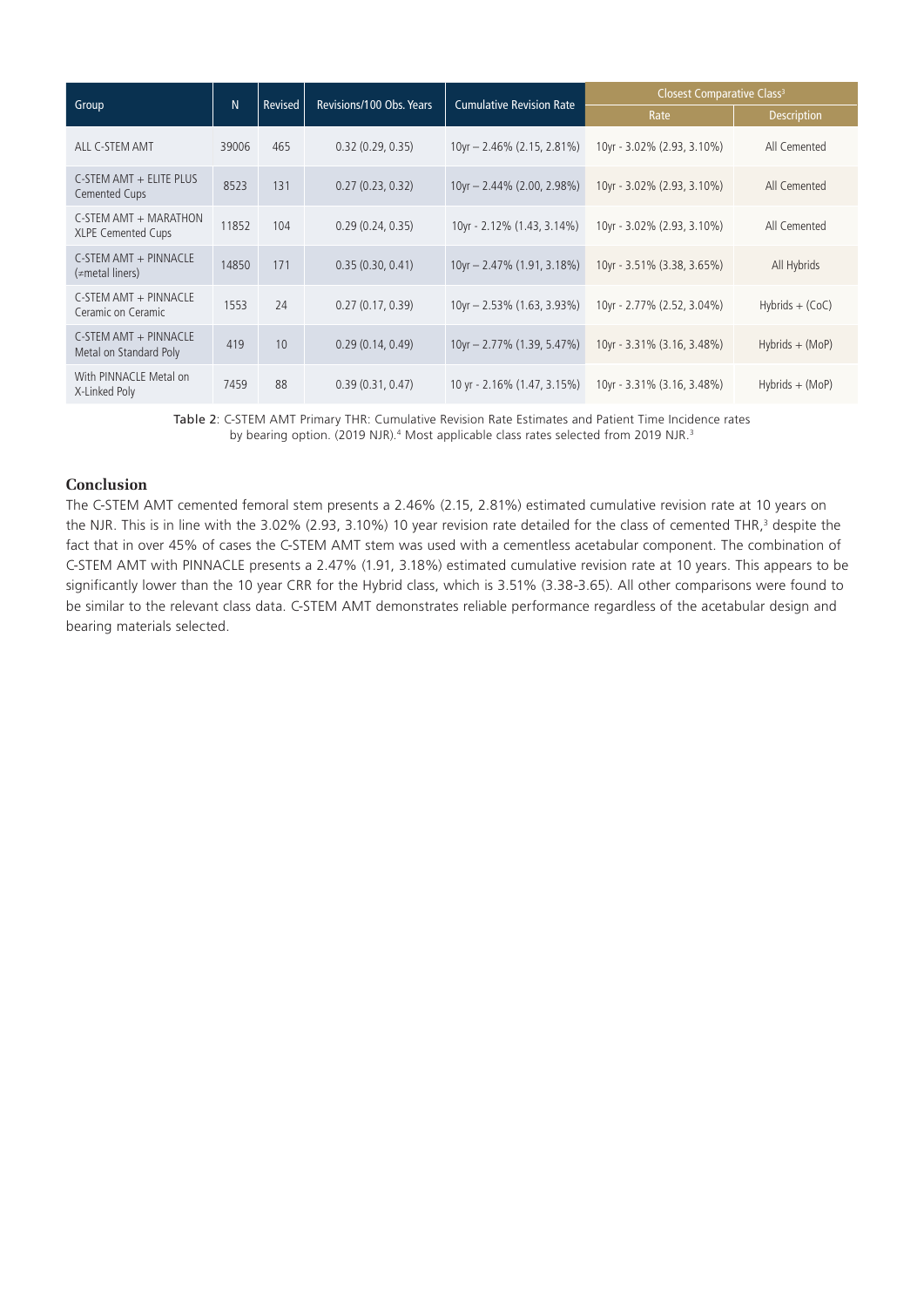|                                                     | N     | Revised | Revisions/100 Obs. Years | <b>Cumulative Revision Rate</b> | Closest Comparative Class <sup>3</sup> |                    |
|-----------------------------------------------------|-------|---------|--------------------------|---------------------------------|----------------------------------------|--------------------|
| Group                                               |       |         |                          |                                 | Rate                                   | <b>Description</b> |
| ALL C-STEM AMT                                      | 39006 | 465     | 0.32(0.29, 0.35)         | $10yr - 2.46\% (2.15, 2.81\%)$  | 10yr - 3.02% (2.93, 3.10%)             | All Cemented       |
| C-STEM AMT + ELITE PLUS<br>Cemented Cups            | 8523  | 131     | 0.27(0.23, 0.32)         | 10yr - 2.44% (2.00, 2.98%)      | 10yr - 3.02% (2.93, 3.10%)             | All Cemented       |
| C-STEM AMT + MARATHON<br><b>XLPE Cemented Cups</b>  | 11852 | 104     | 0.29(0.24, 0.35)         | 10yr - 2.12% (1.43, 3.14%)      | 10yr - 3.02% (2.93, 3.10%)             | All Cemented       |
| C-STEM AMT + PINNACLE<br>$\left(\neq$ metal liners) | 14850 | 171     | 0.35(0.30, 0.41)         | 10yr - 2.47% (1.91, 3.18%)      | 10yr - 3.51% (3.38, 3.65%)             | All Hybrids        |
| C-STEM AMT + PINNACLE<br>Ceramic on Ceramic         | 1553  | 24      | 0.27(0.17, 0.39)         | $10yr - 2.53\% (1.63, 3.93\%)$  | 10yr - 2.77% (2.52, 3.04%)             | $Hybrids + (CoC)$  |
| C-STEM AMT + PINNACLE<br>Metal on Standard Poly     | 419   | 10      | 0.29(0.14, 0.49)         | 10yr - 2.77% (1.39, 5.47%)      | 10yr - 3.31% (3.16, 3.48%)             | $Hybrids + (MoP)$  |
| With PINNACLE Metal on<br>X-Linked Poly             | 7459  | 88      | 0.39(0.31, 0.47)         | 10 yr - 2.16% (1.47, 3.15%)     | 10yr - 3.31% (3.16, 3.48%)             | $Hybrids + (MoP)$  |

Table 2: C-STEM AMT Primary THR: Cumulative Revision Rate Estimates and Patient Time Incidence rates by bearing option. (2019 NJR).<sup>4</sup> Most applicable class rates selected from 2019 NJR.<sup>3</sup>

## **Conclusion**

The C-STEM AMT cemented femoral stem presents a 2.46% (2.15, 2.81%) estimated cumulative revision rate at 10 years on the NJR. This is in line with the 3.02% (2.93, 3.10%) 10 year revision rate detailed for the class of cemented THR,<sup>3</sup> despite the fact that in over 45% of cases the C-STEM AMT stem was used with a cementless acetabular component. The combination of C-STEM AMT with PINNACLE presents a 2.47% (1.91, 3.18%) estimated cumulative revision rate at 10 years. This appears to be significantly lower than the 10 year CRR for the Hybrid class, which is 3.51% (3.38-3.65). All other comparisons were found to be similar to the relevant class data. C-STEM AMT demonstrates reliable performance regardless of the acetabular design and bearing materials selected.